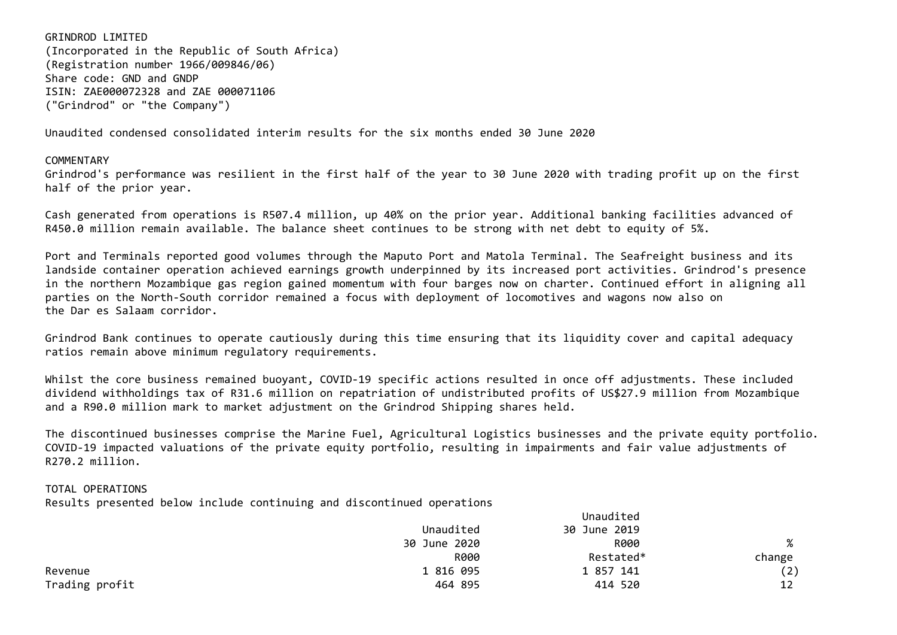GRINDROD LIMITED (Incorporated in the Republic of South Africa) (Registration number 1966/009846/06) Share code: GND and GNDP ISIN: ZAE000072328 and ZAE 000071106 ("Grindrod" or "the Company")

Unaudited condensed consolidated interim results for the six months ended 30 June 2020

## **COMMENTARY**

Grindrod's performance was resilient in the first half of the year to 30 June 2020 with trading profit up on the first half of the prior year.

Cash generated from operations is R507.4 million, up 40% on the prior year. Additional banking facilities advanced of R450.0 million remain available. The balance sheet continues to be strong with net debt to equity of 5%.

Port and Terminals reported good volumes through the Maputo Port and Matola Terminal. The Seafreight business and its landside container operation achieved earnings growth underpinned by its increased port activities. Grindrod's presence in the northern Mozambique gas region gained momentum with four barges now on charter. Continued effort in aligning all parties on the North-South corridor remained a focus with deployment of locomotives and wagons now also on the Dar es Salaam corridor.

Grindrod Bank continues to operate cautiously during this time ensuring that its liquidity cover and capital adequacy ratios remain above minimum regulatory requirements.

Whilst the core business remained buovant, COVID-19 specific actions resulted in once off adjustments. These included dividend withholdings tax of R31.6 million on repatriation of undistributed profits of US\$27.9 million from Mozambique and a R90.0 million mark to market adjustment on the Grindrod Shipping shares held.

The discontinued businesses comprise the Marine Fuel, Agricultural Logistics businesses and the private equity portfolio. COVID-19 impacted valuations of the private equity portfolio, resulting in impairments and fair value adjustments of R270.2 million.

## TOTAL OPERATIONS

Results presented below include continuing and discontinued operations

|                |              | Unaudited    |        |
|----------------|--------------|--------------|--------|
|                | Unaudited    | 30 June 2019 |        |
|                | 30 June 2020 | R000         | %      |
|                | R000         | Restated*    | change |
| Revenue        | 1 816 095    | 1 857 141    | (2)    |
| Trading profit | 464 895      | 414 520      | 12     |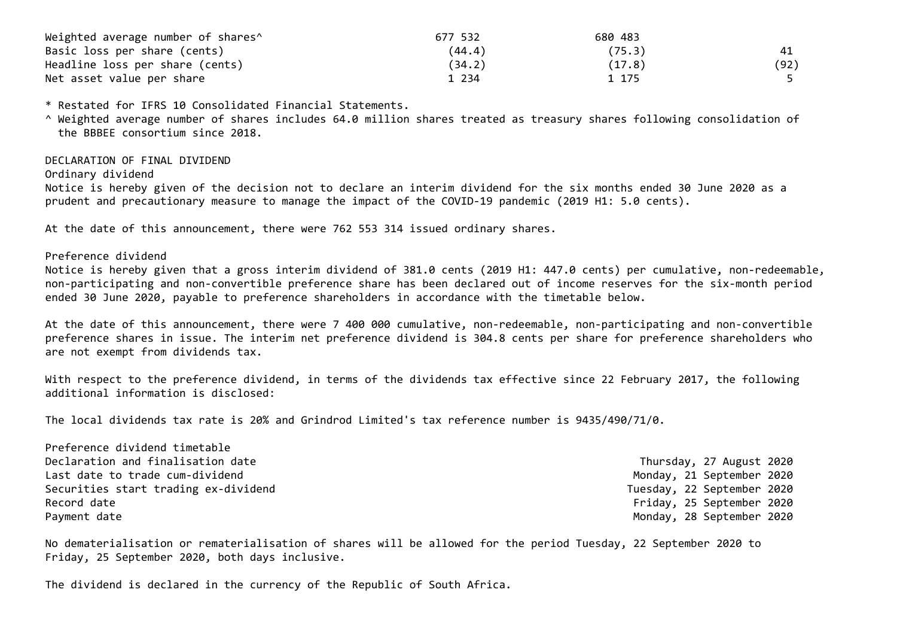| Weighted average number of shares^ | 677 532 | 680 483 |      |
|------------------------------------|---------|---------|------|
| Basic loss per share (cents)       | (44.4)  | (75.3)  |      |
| Headline loss per share (cents)    | (34.2)  | (17.8)  | (92) |
| Net asset value per share          | 1 2 3 4 | 1 175   |      |

\* Restated for IFRS 10 Consolidated Financial Statements.

^ Weighted average number of shares includes 64.0 million shares treated as treasury shares following consolidation of the BBBEE consortium since 2018.

DECLARATION OF FINAL DIVIDEND

Ordinary dividend

Notice is hereby given of the decision not to declare an interim dividend for the six months ended 30 June 2020 as a prudent and precautionary measure to manage the impact of the COVID-19 pandemic (2019 H1: 5.0 cents).

At the date of this announcement, there were 762 553 314 issued ordinary shares.

Preference dividend

Notice is hereby given that a gross interim dividend of 381.0 cents (2019 H1: 447.0 cents) per cumulative, non-redeemable, non-participating and non-convertible preference share has been declared out of income reserves for the six-month period ended 30 June 2020, payable to preference shareholders in accordance with the timetable below.

At the date of this announcement, there were 7 400 000 cumulative, non-redeemable, non-participating and non-convertible preference shares in issue. The interim net preference dividend is 304.8 cents per share for preference shareholders who are not exempt from dividends tax.

With respect to the preference dividend, in terms of the dividends tax effective since 22 February 2017, the following additional information is disclosed:

The local dividends tax rate is 20% and Grindrod Limited's tax reference number is 9435/490/71/0.

| Preference dividend timetable        |                            |
|--------------------------------------|----------------------------|
| Declaration and finalisation date    | Thursday, 27 August 2020   |
| Last date to trade cum-dividend      | Monday, 21 September 2020  |
| Securities start trading ex-dividend | Tuesday, 22 September 2020 |
| Record date                          | Friday, 25 September 2020  |
| Payment date                         | Monday, 28 September 2020  |

No dematerialisation or rematerialisation of shares will be allowed for the period Tuesday, 22 September 2020 to Friday, 25 September 2020, both days inclusive.

The dividend is declared in the currency of the Republic of South Africa.